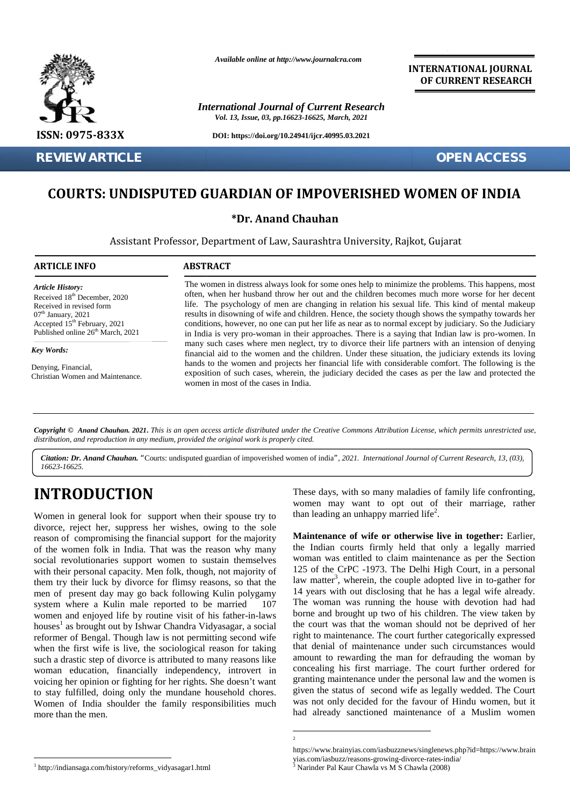

**REVIEW ARTICLE OPEN ACCESS**

*Available online at http://www.journalcra.com*

*International Journal of Current Research Vol. 13, Issue, 03, pp.16623-16625, March, 2021*

**DOI: https://doi.org/10.24941/ijcr.40995.03.2021**

**INTERNATIONAL JOURNAL OF CURRENT RESEARCH**

## **COURTS: UNDISPUTED GUARDIAN OF IMPOVERISHED WOMEN OF INDIA**

### **\*Dr. Anand Chauhan \*Dr. Anand**

Assistant Professor, Department of Law, Saurashtra University, Rajkot, Gujarat University,

#### **ARTICLE INFO ABSTRACT ARTICLE ABSTRACT**

*Article History: Article History:* Received  $18<sup>th</sup>$  December, 2020 Received 18 December, 2020<br>Received in revised form<br>07<sup>th</sup> January, 2021  $07<sup>th</sup>$  January, 2021 Accepted  $15<sup>th</sup>$  February, 2021 Published online  $26<sup>th</sup>$  March, 2021 **REVIEW ART<br>
COURTS:**<br> **COURTS:**<br> **ARTICLE INFO**<br> *Article History:*<br>
Received in revised form<br>  $07^{\text{th}}$  January, 2021<br>
Accepted 15<sup>th</sup> February, 2<br>
Published online 26<sup>th</sup> Ma<br> *Key Words:*<br>
Denying, Financial,<br>
Denying,

*Key Words:*

Denying, Financial, Christian Women and Maintenance.

The women in distress always look for some ones help to minimize the problems. This happens, most often, when her husband throw her out and the children becomes much more worse for her decent life. The psychology of men are changing in relation his sexual life. This kind of mental makeup results in disowning of wife and children. Hence, the society though shows the sympathy towards her conditions, however, no one can put her life as near as to normal except by judiciary. So the Judiciary in India is very pro-woman in their approaches. There is a saying that Indian law is pro-women. In many such cases where men neglect, try to divorce their life partners with an intension of denying financial aid to the women and the children. Under these situation, the judiciary extends its loving hands to the women and projects her financial life with considerable comfort. The following is the exposition of such cases, wherein, the judiciary decided the cases as per the law and protected the women in most of the cases in India. omen in distress always look for some ones help to minimize the problems. This happens, m<br>when her husband throw her out and the children becomes much more worse for her dec<br>The psychology of men are changing in relation h or, 2020<br>
often, when her husband throw her ourm<br>
iffe. The psychology of men are cha<br>
results in disowning of wife and childr<br>
conditions, however, no one can put he<br>
in India is very pro-woman in their are<br>
many such cas 2021 results in disowning of wife and children. Hence, the society though shows the sympathy towards her and the herbuary, 2021 conditions, however, no one can put her life as near as to normal except by judiciary. So the

Copyright © Anand Chauhan. 2021. This is an open access article distributed under the Creative Commons Attribution License, which permits unrestricted use, *distribution, and reproduction in any medium, provided the original work is properly cited. distribution,any*

*Citation: Dr. Anand Chauhan. "*Courts: undisputed guardian of impoverished women of india*", 2021. International Journal of Current Research, 13, (03), 16623-16625.*

# **INTRODUCTION INTRODUCTION**

Women in general look for support when their spouse try to divorce, reject her, suppress her wishes, owing to the sole reason of compromising the financial support for the majority of the women folk in India. That was the reason why many social revolutionaries support women to sustain themselves with their personal capacity. Men folk, though, not majority of them try their luck by divorce for flimsy reasons, so that the men of present day may go back following Kulin polygamy system where a Kulin male reported to be married 107 women and enjoyed life by routine visit of his father-in-laws houses<sup>1</sup> as brought out by Ishwar Chandra Vidyasagar, a social reformer of Bengal. Though law is not permitting second wife when the first wife is live, the sociological reason for taking such a drastic step of divorce is attributed to many reasons like woman education, financially independency, introvert in voicing her opinion or fighting for her rights. She doesn't want a to stay fulfilled, doing only the mundane household chores.<br>Women of India shoulder the family responsibilities much<br>more than the men. Women of India shoulder the family responsibilities much more than the men. Women in general look for support when their spouse try to<br>divorce, reject her, suppress her wishes, owing to the sole<br>reason of compromising the financial support for the majority<br>of the women folk in India. That was the

These days, with so many maladies of family life confronting, women may want to opt out of their marriage, rather than leading an unhappy married life<sup>2</sup>.

**Maintenance of wife or otherwise live in together:** Earlier, Earlier, the Indian courts firmly held that only a legally married woman was entitled to claim maintenance as per the Section 125 of the CrPC -1973. The Delhi High Court, in a personal the Indian courts firmly held that only a legally married<br>woman was entitled to claim maintenance as per the Section<br>125 of the CrPC -1973. The Delhi High Court, in a personal<br>law matter<sup>3</sup>, wherein, the couple adopted liv 14 years with out disclosing that he has a legal wife already. The woman was running the house with devotion had had borne and brought up two of his children. The view taken by 14 years with out disclosing that he has a legal wife already.<br>The woman was running the house with devotion had had<br>borne and brought up two of his children. The view taken by<br>the court was that the woman should not be de right to maintenance. The court further categorically expressed right to maintenance. The court further categorically expressed<br>that denial of maintenance under such circumstances would amount to rewarding the man for defrauding the woman by amount to rewarding the man for defrauding the woman by concealing his first marriage. The court further ordered for granting maintenance under the personal law and the women is given the status of second wife as legally wedded. The Court not only decided for the favour turther ordered for the favour of Hindu women is<br>thus. She doesn't want granting maintenance under the personal law and the women is<br>in the favour of Hindu women, but it<br>responsibilities muc had already sanctioned maintenance of a Muslim women and the heat has has been described about the relations has exact for the desired about the count and the children known in cut and the count of the symphology of men are domination his second life. This kind of mention m

<sup>2</sup>

https://www.brainyias.com/iasbuzznews/singlenews.php?id=https://www.brain yias.com/iasbuzz/reasons-growing-divorce-rates-india/ <sup>3</sup> Narinder Pal Kaur Chawla vs M S Chawla (2008)

<sup>1</sup> http://indiansaga.com/history/reforms\_vidyasagar1.html <sup>1</sup>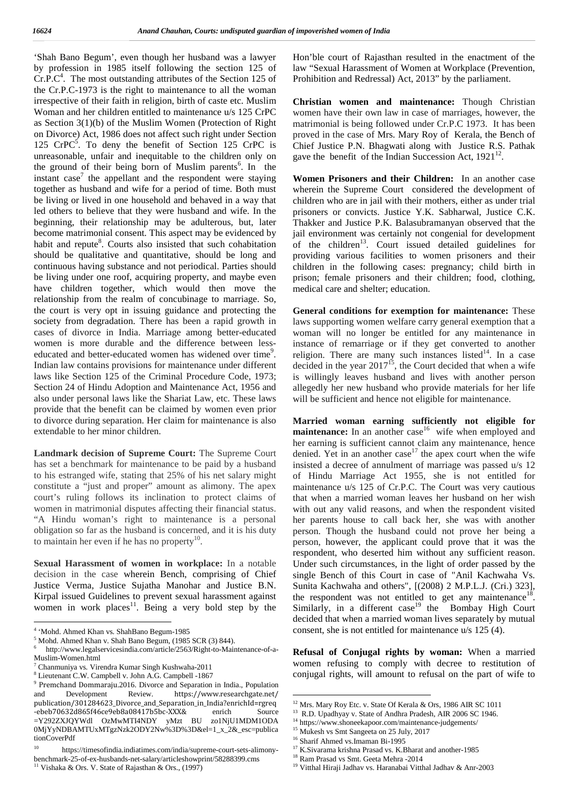'Shah Bano Begum', even though her husband was a lawyer by profession in 1985 itself following the section 125 of  $Cr.P.C<sup>4</sup>$ . The most outstanding attributes of the Section 125 of P the Cr.P.C-1973 is the right to maintenance to all the woman irrespective of their faith in religion, birth of caste etc. Muslim Woman and her children entitled to maintenance u/s 125 CrPC as Section 3(1)(b) of the Muslim Women (Protection of Right on Divorce) Act, 1986 does not affect such right under Section 125  $CrPC^5$ . To deny the benefit of Section 125  $CrPC$  is Ch unreasonable, unfair and inequitable to the children only on the ground of their being born of Muslim parents<sup>6</sup>. In the instant case<sup>7</sup> the appellant and the respondent were staying Wor together as husband and wife for a period of time. Both must be living or lived in one household and behaved in a way that led others to believe that they were husband and wife. In the beginning, their relationship may be adulterous, but, later become matrimonial consent. This aspect may be evidenced by habit and repute<sup>8</sup>. Courts also insisted that such cohabitation of t should be qualitative and quantitative, should be long and continuous having substance and not periodical. Parties should be living under one roof, acquiring property, and maybe even have children together, which would then move the relationship from the realm of concubinage to marriage. So, the court is very opt in issuing guidance and protecting the society from degradation. There has been a rapid growth in cases of divorce in India. Marriage among better-educated women is more durable and the difference between less educated and better-educated women has widened over time<sup>9</sup> .<br>.<br>. Indian law contains provisions for maintenance under different laws like Section 125 of the Criminal Procedure Code, 1973; Section 24 of Hindu Adoption and Maintenance Act, 1956 and also under personal laws like the Shariat Law, etc. These laws provide that the benefit can be claimed by women even prior to divorce during separation. Her claim for maintenance is also extendable to her minor children.

**Landmark decision of Supreme Court:** The Supreme Court has set a benchmark for maintenance to be paid by a husband to his estranged wife, stating that 25% of his net salary might constitute a "just and proper" amount as alimony. The apex court's ruling follows its inclination to protect claims of women in matrimonial disputes affecting their financial status. "A Hindu woman's right to maintenance is a personal obligation so far as the husband is concerned, and it is his duty to maintain her even if he has no property $10$ .

**Sexual Harassment of women in workplace:** In a notable decision in the case wherein Bench, comprising of Chief Justice Verma, Justice Sujatha Manohar and Justice B.N. Kirpal issued Guidelines to prevent sexual harassment against women in work places<sup>11</sup>. Being a very bold step by the

Hon'ble court of Rajasthan resulted in the enactment of the law "Sexual Harassment of Women at Workplace (Prevention, Prohibition and Redressal) Act, 2013" by the parliament.

**Christian women and maintenance:** Though Christian women have their own law in case of marriages, however, the matrimonial is being followed under Cr.P.C 1973. It has been proved in the case of Mrs. Mary Roy of Kerala, the Bench of Chief Justice P.N. Bhagwati along with Justice R.S. Pathak gave the benefit of the Indian Succession Act,  $1921^{12}$ .

**Women Prisoners and their Children:** In an another case wherein the Supreme Court considered the development of children who are in jail with their mothers, either as under trial prisoners or convicts. Justice Y.K. Sabharwal, Justice C.K. Thakker and Justice P.K. Balasubramanyan observed that the jail environment was certainly not congenial for development of the children<sup>13</sup>. Court issued detailed guidelines for providing various facilities to women prisoners and their children in the following cases: pregnancy; child birth in prison; female prisoners and their children; food, clothing, medical care and shelter; education.

**General conditions for exemption for maintenance:** These laws supporting women welfare carry general exemption that a woman will no longer be entitled for any maintenance in instance of remarriage or if they get converted to another religion. There are many such instances listed $14$ . In a case decided in the year  $2017^{15}$ , the Court decided that when a wife is willingly leaves husband and lives with another person allegedly her new husband who provide materials for her life will be sufficient and hence not eligible for maintenance.

**Married woman earning sufficiently not eligible for maintenance:** In an another case<sup>16</sup> wife when employed and her earning is sufficient cannot claim any maintenance, hence denied. Yet in an another case<sup>17</sup> the apex court when the wife insisted a decree of annulment of marriage was passed u/s 12 of Hindu Marriage Act 1955, she is not entitled for maintenance u/s 125 of Cr.P.C. The Court was very cautious that when a married woman leaves her husband on her wish with out any valid reasons, and when the respondent visited her parents house to call back her, she was with another person. Though the husband could not prove her being a person, however, the applicant could prove that it was the respondent, who deserted him without any sufficient reason. Under such circumstances, in the light of order passed by the single Bench of this Court in case of "Anil Kachwaha Vs. Sunita Kachwaha and others", [(2008) 2 M.P.L.J. (Cri.) 323], the respondent was not entitled to get any maintenance  $18$ . Similarly, in a different  $case<sup>19</sup>$  the Bombay High Court decided that when a married woman lives separately by mutual consent, she is not entitled for maintenance u/s 125 (4).

**Refusal of Conjugal rights by woman:** When a married women refusing to comply with decree to restitution of conjugal rights, will amount to refusal on the part of wife to

<sup>4</sup> 'Mohd. Ahmed Khan vs. ShahBano Begum-1985

<sup>5</sup> Mohd. Ahmed Khan v. Shah Bano Begum, (1985 SCR (3) 844).

http://www.legalservicesindia.com/article/2563/Right-to-Maintenance-of-a-Muslim-Women.html

<sup>7</sup> Chanmuniya vs*.* Virendra Kumar Singh Kushwaha-2011 <sup>8</sup> Lieutenant C.W. Campbell v. John A.G. Campbell -1867

<sup>9</sup> Premchand Dommaraju.2016. Divorce and Separation in India., Population https://www.researchgate.net/ publication/301284623\_Divorce\_and\_Separation\_in\_India?enrichId=rgreq<br>-ebeb70632d865f46ce9eb8a08417b5bc-XXX& enrich Source -ebeb70632d865f46ce9eb8a08417b5bc-XXX& enrich Source <sup>13</sup> R.D. Upadhyay v. State of Andhra Pradesh, AIR 2006 SC<br>=Y292ZXJQYWdl OzMwMTI4NDY yMzt BU zo1NjU1MDM1ODA <sup>14</sup> https://www.shoneekapoor.com/maintenance-judgements/ =Y292ZXJQYWdl OzMwMTI4NDY yMzt BU zo1NjU1MDM1ODA 0MjYyNDBAMTUxMTgzNzk2ODY2Nw%3D%3D&el=1\_x\_2&\_esc=publica tionCoverPdf

<sup>10</sup> https://timesofindia.indiatimes.com/india/supreme-court-sets-alimony benchmark-25-of-ex-husbands-net-salary/articleshowprint/58288399.cms<br><sup>11</sup> Vishaka & Ors. V. State of Painsthan & Ors. (1007) Vishaka & Ors. V. State of Rajasthan & Ors., (1997)

<sup>12</sup> Mrs. Mary Roy Etc. v. State Of Kerala & Ors, 1986 AIR SC 1011

 $13$  R.D. Upadhyay v. State of Andhra Pradesh, AIR 2006 SC 1946.

<sup>&</sup>lt;sup>15</sup> Mukesh vs Smt Sangeeta on 25 July, 2017

<sup>16</sup> Sharif Ahmed vs.Imaman Bi-1995

<sup>&</sup>lt;sup>17</sup> K.Sivarama krishna Prasad vs. K.Bharat and another-1985

<sup>18</sup> Ram Prasad vs Smt. Geeta Mehra -2014

 $^{19}$ Vitthal Hiraji Jadhav vs. Haranabai Vitthal Jadhav & Anr-2003